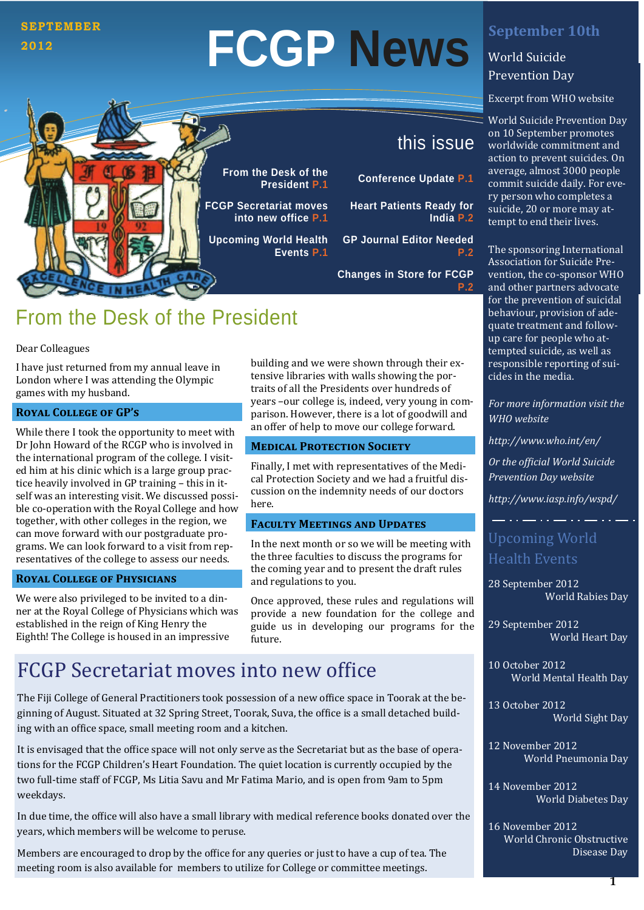### **SEPTEMBER 2012**

# **FCGP News**

**From the Desk of the** 

**FCGP Secretariat moves into new office P.1**

**Upcoming World Health** 

**Events P.1**

Excerpt from WHO website

World Suicide Prevention Day on 10 September promotes worldwide commitment and action to prevent suicides. On average, almost 3000 people commit suicide daily. For every person who completes a suicide, 20 or more may attempt to end their lives.

The sponsoring International Association for Suicide Prevention, the co-sponsor WHO and other partners advocate for the prevention of suicidal behaviour, provision of adequate treatment and followup care for people who attempted suicide, as well as responsible reporting of suicides in the media.

*For more information visit the WHO website* 

*<http://www.who.int/en/>*

*Or the ofϔicial World Suicide Prevention Day website*

*http://www.iasp.info/wspd/*

## Upcoming World Health Events

28 September 2012 World Rabies Day

29 September 2012 World Heart Day

10 October 2012 World Mental Health Day

13 October 2012 World Sight Day

12 November 2012 World Pneumonia Day

14 November 2012 World Diabetes Day

16 November 2012 World Chronic Obstructive Disease Dav

## this issue

**President P.1 Conference Update P.1** 

**Heart Patients Ready for India P.2** 

**GP Journal Editor Needed** 

**Changes in Store for FCGP** 

**P.2** 

## From the Desk of the President

#### Dear Colleagues

I have just returned from my annual leave in London where I was attending the Olympic games with my husband.

#### **ROYAL COLLEGE OF GP'S**

While there I took the opportunity to meet with Dr John Howard of the RCGP who is involved in the international program of the college. I visited him at his clinic which is a large group practice heavily involved in GP training - this in itself was an interesting visit. We discussed possible co-operation with the Royal College and how together, with other colleges in the region, we can move forward with our postgraduate programs. We can look forward to a visit from representatives of the college to assess our needs.

#### **ROYAL COLLEGE OF PHYSICIANS**

We were also privileged to be invited to a dinner at the Royal College of Physicians which was established in the reign of King Henry the Eighth! The College is housed in an impressive

building and we were shown through their extensive libraries with walls showing the portraits of all the Presidents over hundreds of years -our college is, indeed, very young in comparison. However, there is a lot of goodwill and an offer of help to move our college forward.

#### **MEDICAL PROTECTION SOCIETY**

Finally, I met with representatives of the Medical Protection Society and we had a fruitful discussion on the indemnity needs of our doctors here. 

#### **FACULTY MEETINGS AND UPDATES**

In the next month or so we will be meeting with the three faculties to discuss the programs for the coming year and to present the draft rules and regulations to you.

Once approved, these rules and regulations will provide a new foundation for the college and guide us in developing our programs for the future. 

## FCGP Secretariat moves into new office

The Fiji College of General Practitioners took possession of a new office space in Toorak at the beginning of August. Situated at 32 Spring Street, Toorak, Suva, the office is a small detached building with an office space, small meeting room and a kitchen.

It is envisaged that the office space will not only serve as the Secretariat but as the base of operations for the FCGP Children's Heart Foundation. The quiet location is currently occupied by the two full-time staff of FCGP, Ms Litia Savu and Mr Fatima Mario, and is open from 9am to 5pm weekdays. 

In due time, the office will also have a small library with medical reference books donated over the years, which members will be welcome to peruse.

Members are encouraged to drop by the office for any queries or just to have a cup of tea. The meeting room is also available for members to utilize for College or committee meetings.

## **September 10th**

**World Suicide** Prevention Day

**P.2**